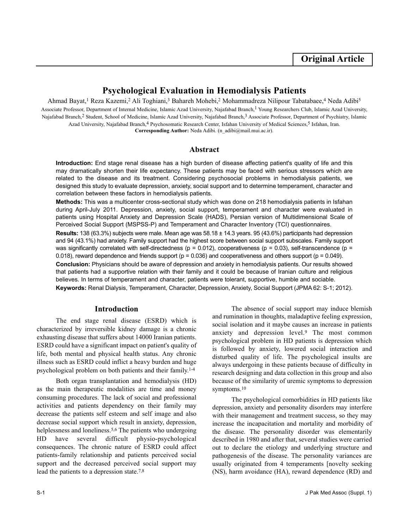# **Psychological Evaluation in Hemodialysis Patients**

Ahmad Bayat,<sup>1</sup> Reza Kazemi,<sup>2</sup> Ali Toghiani,<sup>3</sup> Bahareh Mohebi,<sup>2</sup> Mohammadreza Nilipour Tabatabaee,<sup>4</sup> Neda Adibi<sup>5</sup> Associate Professor, Department of Internal Medicine, Islamic Azad University, Najafabad Branch,1 Young Researchers Club, Islamic Azad University, Najafabad Branch,2 Student, School of Medicine, Islamic Azad University, Najafabad Branch,3 Associate Professor, Department of Psychiatry, Islamic Azad University, Najafabad Branch,<sup>4</sup> Psychosomatic Research Center, Isfahan University of Medical Sciences,<sup>5</sup> Isfahan, Iran. **Corresponding Author:** Neda Adibi. (n\_adibi@mail.mui.ac.ir).

## **Abstract**

**Introduction:** End stage renal disease has a high burden of disease affecting patient's quality of life and this may dramatically shorten their life expectancy. These patients may be faced with serious stressors which are related to the disease and its treatment. Considering psychosocial problems in hemodialysis patients, we designed this study to evaluate depression, anxiety, social support and to determine temperament, character and correlation between these factors in hemodialysis patients.

**Methods:** This was a multicenter cross-sectional study which was done on 218 hemodialysis patients in Isfahan during April-July 2011. Depression, anxiety, social support, temperament and character were evaluated in patients using Hospital Anxiety and Depression Scale (HADS), Persian version of Multidimensional Scale of Perceived Social Support (MSPSS-P) and Temperament and Character Inventory (TCI) questionnaires. **Results:** 138 (63.3%) subjects were male. Mean age was 58.18 ± 14.3 years. 95 (43.6%) participants had depression and 94 (43.1%) had anxiety. Family support had the highest score between social support subscales. Family support was significantly correlated with self-directedness ( $p = 0.012$ ), cooperativeness ( $p = 0.03$ ), self-transcendence ( $p =$ 0.018), reward dependence and friends support ( $p = 0.036$ ) and cooperativeness and others support ( $p = 0.049$ ). **Conclusion:** Physicians should be aware of depression and anxiety in hemodialysis patients. Our results showed that patients had a supportive relation with their family and it could be because of Iranian culture and religious believes. In terms of temperament and character, patients were tolerant, supportive, humble and sociable.

**Keywords:** Renal Dialysis, Temperament, Character, Depression, Anxiety, Social Support (JPMA 62: S-1; 2012).

### **Introduction**

The end stage renal disease (ESRD) which is characterized by irreversible kidney damage is a chronic exhausting disease that suffers about 14000 Iranian patients. ESRD could have a significant impact on patient's quality of life, both mental and physical health status. Any chronic illness such as ESRD could inflict a heavy burden and huge psychological problem on both patients and their family.1-4

Both organ transplantation and hemodialysis (HD) as the main therapeutic modalities are time and money consuming procedures. The lack of social and professional activities and patients dependency on their family may decrease the patients self esteem and self image and also decrease social support which result in anxiety, depression, helplessness and loneliness.<sup>5,6</sup> The patients who undergoing HD have several difficult physio-psychological consequences. The chronic nature of ESRD could affect patients-family relationship and patients perceived social support and the decreased perceived social support may lead the patients to a depression state.7,8

The absence of social support may induce blemish and rumination in thoughts, maladaptive feeling expression, social isolation and it maybe causes an increase in patients anxiety and depression level.<sup>9</sup> The most common psychological problem in HD patients is depression which is followed by anxiety, lowered social interaction and disturbed quality of life. The psychological insults are always undergoing in these patients because of difficulty in research designing and data collection in this group and also because of the similarity of uremic symptoms to depression symptoms.<sup>10</sup>

The psychological comorbidities in HD patients like depression, anxiety and personality disorders may interfere with their management and treatment success, so they may increase the incapacitation and mortality and morbidity of the disease. The personality disorder was elementarily described in 1980 and after that, several studies were carried out to declare the etiology and underlying structure and pathogenesis of the disease. The personality variances are usually originated from 4 temperaments [novelty seeking (NS), harm avoidance (HA), reward dependence (RD) and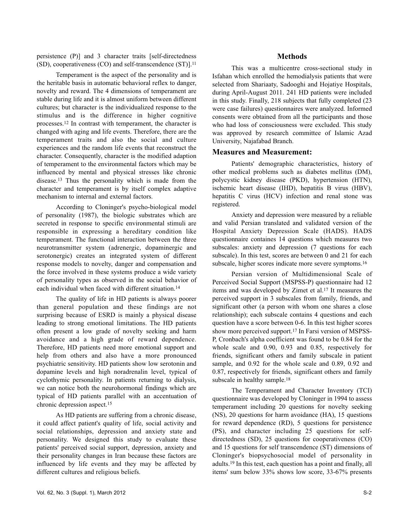persistence (P)] and 3 character traits [self-directedness (SD), cooperativeness (CO) and self-transcendence (ST)].<sup>11</sup>

Temperament is the aspect of the personality and is the heritable basis in automatic behavioral reflex to danger, novelty and reward. The 4 dimensions of temperament are stable during life and it is almost uniform between different cultures; but character is the individualized response to the stimulus and is the difference in higher cognitive processes.<sup>12</sup> In contrast with temperament, the character is changed with aging and life events. Therefore, there are the temperament traits and also the social and culture experiences and the random life events that reconstruct the character. Consequently, character is the modified adaption of temperament to the environmental factors which may be influenced by mental and physical stresses like chronic disease.<sup>13</sup> Thus the personality which is made from the character and temperament is by itself complex adaptive mechanism to internal and external factors.

According to Cloninger's psycho-biological model of personality (1987), the biologic substrates which are secreted in response to specific environmental stimuli are responsible in expressing a hereditary condition like temperament. The functional interaction between the three neurotransmitter system (adrenergic, dopaminergic and serotonergic) creates an integrated system of different response models to novelty, danger and compensation and the force involved in these systems produce a wide variety of personality types as observed in the social behavior of each individual when faced with different situation.14

The quality of life in HD patients is always poorer than general population and these findings are not surprising because of ESRD is mainly a physical disease leading to strong emotional limitations. The HD patients often present a low grade of novelty seeking and harm avoidance and a high grade of reward dependence. Therefore, HD patients need more emotional support and help from others and also have a more pronounced psychiatric sensitivity. HD patients show low serotonin and dopamine levels and high noradrenalin level, typical of cyclothymic personality. In patients returning to dialysis, we can notice both the neurohormonal findings which are typical of HD patients parallel with an accentuation of chronic depression aspect.<sup>15</sup>

As HD patients are suffering from a chronic disease, it could affect patient's quality of life, social activity and social relationships, depression and anxiety state and personality. We designed this study to evaluate these patients' perceived social support, depression, anxiety and their personality changes in Iran because these factors are influenced by life events and they may be affected by different cultures and religious beliefs.

### **Methods**

This was a multicentre cross-sectional study in Isfahan which enrolled the hemodialysis patients that were selected from Shariaaty, Sadooghi and Hojatiye Hospitals, during April-August 2011. 241 HD patients were included in this study. Finally, 218 subjects that fully completed (23 were case failures) questionnaires were analyzed. Informed consents were obtained from all the participants and those who had loss of consciousness were excluded. This study was approved by research committee of Islamic Azad University, Najafabad Branch.

### **Measures and Measurement:**

Patients' demographic characteristics, history of other medical problems such as diabetes mellitus (DM), polycystic kidney disease (PKD), hypertension (HTN), ischemic heart disease (IHD), hepatitis B virus (HBV), hepatitis C virus (HCV) infection and renal stone was registered.

Anxiety and depression were measured by a reliable and valid Persian translated and validated version of the Hospital Anxiety Depression Scale (HADS). HADS questionnaire containes 14 questions which measures two subscales: anxiety and depression (7 questions for each subscale). In this test, scores are between 0 and 21 for each subscale, higher scores indicate more severe symptoms.<sup>16</sup>

Persian version of Multidimensional Scale of Perceived Social Support (MSPSS-P) questionnaire had 12 items and was developed by Zimet et al.<sup>17</sup> It measures the perceived support in 3 subscales from family, friends, and significant other (a person with whom one shares a close relationship); each subscale contains 4 questions and each question have a score between 0-6. In this test higher scores show more perceived support.<sup>17</sup> In Farsi version of MSPSS-P, Cronbach's alpha coefficient was found to be 0.84 for the whole scale and 0.90, 0.93 and 0.85, respectively for friends, significant others and family subscale in patient sample, and 0.92 for the whole scale and 0.89, 0.92 and 0.87, respectively for friends, significant others and family subscale in healthy sample.<sup>18</sup>

The Temperament and Character Inventory (TCI) questionnaire was developed by Cloninger in 1994 to assess temperament including 20 questions for novelty seeking (NS), 20 questions for harm avoidance (HA), 15 questions for reward dependence (RD), 5 questions for persistence (PS), and character including 25 questions for selfdirectedness (SD), 25 questions for cooperativeness (CO) and 15 questions for self transcendence (ST) dimensions of Cloninger's biopsychosocial model of personality in adults.<sup>19</sup> In this test, each question has a point and finally, all items' sum below 33% shows low score, 33-67% presents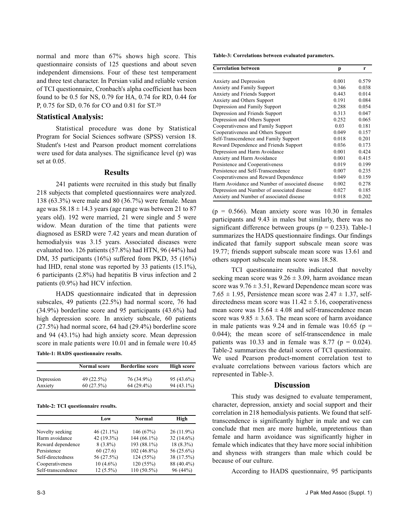normal and more than 67% shows high score. This questionnaire consists of 125 questions and about seven independent dimensions. Four of these test temperament and three test character. In Persian valid and reliable version of TCI questionnaire, Cronbach's alpha coefficient has been found to be 0.5 for NS, 0.79 for HA, 0.74 for RD, 0.44 for P, 0.75 for SD, 0.76 for CO and 0.81 for ST.<sup>20</sup>

### **Statistical Analysis:**

Statistical procedure was done by Statistical Program for Social Sciences software (SPSS) version 18. Student's t-test and Pearson product moment correlations were used for data analyses. The significance level (p) was set at 0.05.

#### **Results**

241 patients were recruited in this study but finally 218 subjects that completed questionnaires were analyzed. 138 (63.3%) were male and 80 (36.7%) were female. Mean age was  $58.18 \pm 14.3$  years (age range was between 21 to 87 years old). 192 were married, 21 were single and 5 were widow. Mean duration of the time that patients were diagnosed as ESRD were 7.42 years and mean duration of hemodialysis was 3.15 years. Associated diseases were evaluated too. 126 patients (57.8%) had HTN, 96 (44%) had DM, 35 participants (16%) suffered from PKD, 35 (16%) had IHD, renal stone was reported by 33 patients (15.1%), 6 participants (2.8%) had hepatitis B virus infection and 2 patients (0.9%) had HCV infection.

HADS questionnaire indicated that in depression subscales, 49 patients (22.5%) had normal score, 76 had (34.9%) borderline score and 95 participants (43.6%) had high depression score. In anxiety subscale, 60 patients (27.5%) had normal score, 64 had (29.4%) borderline score and 94 (43.1%) had high anxiety score. Mean depression score in male patients were 10.01 and in female were 10.45 **Table-1: HADS questionnaire results.**

|            | <b>Normal score</b> | <b>Borderline score</b> | <b>High score</b> |
|------------|---------------------|-------------------------|-------------------|
| Depression | 49 (22.5%)          | 76 (34.9%)              | $95(43.6\%)$      |
| Anxiety    | 60(27.5%)           | $64(29.4\%)$            | $94(43.1\%)$      |

#### **Table-2: TCI questionnaire results.**

|                    | Low           | Normal      | High          |
|--------------------|---------------|-------------|---------------|
|                    |               |             |               |
| Novelty seeking    | 46 $(21.1\%)$ | 146(67%)    | $26(11.9\%)$  |
| Harm avoidance     | 42 (19.3%)    | 144 (66.1%) | 32 $(14.6\%)$ |
| Reward dependence  | $8(3.8\%)$    | 193 (88.1%) | $18(8.3\%)$   |
| Persistence        | 60(27.6)      | 102 (46.8%) | 56 (25.6%)    |
| Self-directedness  | 56 (27.5%)    | 124(55%)    | 38 (17.5%)    |
| Cooperativeness    | $10(4.6\%)$   | 120 (55%)   | 88 (40.4%)    |
| Self-transcendence | $12(5.5\%)$   | 110 (50.5%) | 96 (44%)      |

**Table-3: Correlations between evaluated parameters.**

| <b>Correlation between</b>                      | p     | r     |
|-------------------------------------------------|-------|-------|
|                                                 |       |       |
| Anxiety and Depression                          | 0.001 | 0.579 |
| <b>Anxiety and Family Support</b>               | 0.346 | 0.038 |
| Anxiety and Friends Support                     | 0.443 | 0.014 |
| Anxiety and Others Support                      | 0.191 | 0.084 |
| Depression and Family Support                   | 0.288 | 0.054 |
| Depression and Friends Support                  | 0.313 | 0.047 |
| Depression and Others Support                   | 0.252 | 0.065 |
| Cooperativeness and Family Support              | 0.03  | 0.181 |
| Cooperativeness and Others Support              | 0.049 | 0.157 |
| Self-Transcendence and Family Support           | 0.018 | 0.201 |
| Reward Dependence and Friends Support           | 0.036 | 0.173 |
| Depression and Harm Avoidance                   | 0.001 | 0.424 |
| Anxiety and Harm Avoidance                      | 0.001 | 0.415 |
| Persistence and Cooperativeness                 | 0.019 | 0.199 |
| Persistence and Self-Transcendence              | 0.007 | 0.235 |
| Cooperativeness and Reward Dependence           | 0.049 | 0.159 |
| Harm Avoidance and Number of associated disease | 0.002 | 0.278 |
| Depression and Number of associated disease     | 0.027 | 0.185 |
| Anxiety and Number of associated disease        | 0.018 | 0.202 |

 $(p = 0.566)$ . Mean anxiety score was 10.30 in females participants and 9.43 in males but similarly, there was no significant difference between groups ( $p = 0.233$ ). Table-1 summarizes the HADS questionnaire findings. Our findings indicated that family support subscale mean score was 19.77; friends support subscale mean score was 13.61 and others support subscale mean score was 18.58.

TCI questionnaire results indicated that novelty seeking mean score was  $9.26 \pm 3.09$ , harm avoidance mean score was  $9.76 \pm 3.51$ , Reward Dependence mean score was 7.65  $\pm$  1.95, Persistence mean score was 2.47  $\pm$  1.37, selfdirectedness mean score was  $11.42 \pm 5.16$ , cooperativeness mean score was  $15.64 \pm 4.08$  and self-transcendence mean score was  $9.85 \pm 3.63$ . The mean score of harm avoidance in male patients was 9.24 and in female was 10.65 ( $p =$ 0.044); the mean score of self-transcendence in male patients was 10.33 and in female was 8.77 ( $p = 0.024$ ). Table-2 summarizes the detail scores of TCI questionnaire. We used Pearson product-moment correlation test to evaluate correlations between various factors which are represented in Table-3.

### **Discussion**

This study was designed to evaluate temperament, character, depression, anxiety and social support and their correlation in 218 hemodialysis patients. We found that selftranscendence is significantly higher in male and we can conclude that men are more humble, unpretentious than female and harm avoidance was significantly higher in female which indicates that they have more social inhibition and shyness with strangers than male which could be because of our culture.

According to HADS questionnaire, 95 participants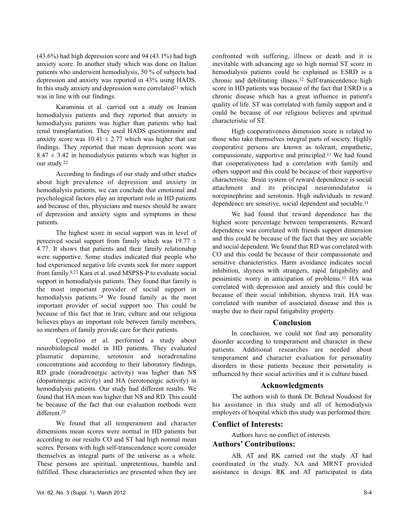(43.6%) had high depression score and 94 (43.1%) had high anxiety score. In another study which was done on Italian patients who underwent hemodialysis, 50 % of subjects had depression and anxiety was reported in 43% using HADS. In this study anxiety and depression were correlated<sup>21</sup> which was in line with our findings.

Karaminia et al. carried out a study on Iranian hemodialysis patients and they reported that anxiety in hemodialysis patients was higher than patients who had renal transplantation. They used HADS questionnaire and anxiety score was  $10.41 \pm 2.77$  which was higher that our findings. They reported that mean depression score was  $8.47 \pm 3.42$  in hemodialysis patients which was higher in our study.<sup>22</sup>

According to findings of our study and other studies about high prevalence of depression and anxiety in hemodialysis patients, we can conclude that emotional and psychological factors play an important role in HD patients and because of this, physicians and nurses should be aware of depression and anxiety signs and symptoms in these patients.

The highest score in social support was in level of perceived social support from family which was  $19.77 \pm$ 4.77. It shows that patients and their family relationship were supportive. Some studies indicated that people who had experienced negative life events seek for more support from family.9,23 Kara et al. used MSPSS-P to evaluate social support in hemodialysis patients. They found that family is the most important provider of social support in hemodialysis patients.<sup>24</sup> We found family as the most important provider of social support too. This could be because of this fact that in Iran; culture and our religious believes plays an important role between family members, so members of family provide care for their patients.

Coppolino et al. performed a study about neurobiological model in HD patients. They evaluated plasmatic dopamine, serotonin and noradrenaline concentrations and according to their laboratory findings, RD grade (noradrenergic activity) was higher than NS (dopaminergic activity) and HA (serotonergic activity) in hemodialysis patients. Our study had different results. We found that HA mean was higher that NS and RD. This could be because of the fact that our evaluation methods were different.<sup>25</sup>

We found that all temperament and character dimensions mean scores were normal in HD patients but according to our results CO and ST had high normal mean scores. Persons with high self-transcendence score consider themselves as integral parts of the universe as a whole. These persons are spiritual, unpretentious, humble and fulfilled. These characteristics are presented when they are confronted with suffering, illness or death and it is inevitable with advancing age so high normal ST score in hemodialysis patients could be explained as ESRD is a chronic and debilitating illness.<sup>12</sup> Self-transcendence high score in HD patients was because of the fact that ESRD is a chronic disease which has a great influence in patient's quality of life. ST was correlated with family support and it could be because of our religious believes and spiritual characteristic of ST.

High cooperativeness dimension score is related to those who take themselves integral parts of society. Highly cooperative persons are known as tolerant, empathetic, compassionate, supportive and principled.<sup>11</sup> We had found that cooperativeness had a correlation with family and others support and this could be because of their supportive characteristic. Brain system of reward dependence is social attachment and its principal neuromodulator is norepinephrine and serotonin. High individuals in reward dependence are sensitive, social dependent and sociable.<sup>11</sup>

We had found that reward dependence has the highest score percentage between temperaments. Reward dependence was correlated with friends support dimension and this could be because of the fact that they are sociable and social dependent. We found that RD was correlated with CO and this could be because of their compassionate and sensitive characteristics. Harm avoidance indicates social inhibition, shyness with strangers, rapid fatigability and pessimistic worry in anticipation of problems.<sup>11</sup> HA was correlated with depression and anxiety and this could be because of their social inhibition, shyness trait. HA was correlated with number of associated disease and this is maybe due to their rapid fatigability property.

### **Conclusion**

In conclusion, we could not find any personality disorder according to temperament and character in these patients. Additional researches are needed about temperament and character evaluation for personality disorders in these patients because their personality is influenced by their social activities and it is culture based.

### **Acknowledgments**

The authors wish to thank Dr. Behrad Noudoost for his assistance in this study and all of hemodialysis employers of hospital which this study was performed there.

# **Conflict of Interests:**

Authors have no conflict of interests.

# **Authors' Contributions:**

AB, AT and RK carried out the study. AT had coordinated in the study. NA and MRNT provided assistance in design. RK and AT participated in data